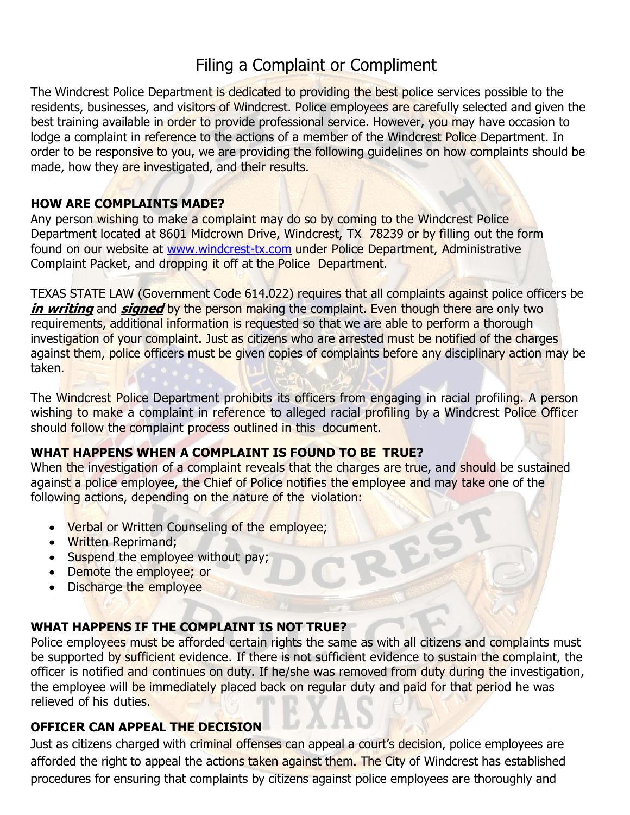# Filing a Complaint or Compliment

The Windcrest Police Department is dedicated to providing the best police services possible to the residents, businesses, and visitors of Windcrest. Police employees are carefully selected and given the best training available in order to provide professional service. However, you may have occasion to lodge a complaint in reference to the actions of a member of the Windcrest Police Department. In order to be responsive to you, we are providing the following quidelines on how complaints should be made, how they are investigated, and their results.

### **HOW ARE COMPLAINTS MADE?**

Any person wishing to make a complaint may do so by coming to the Windcrest Police Department located at 8601 Midcrown Drive, Windcrest, TX 78239 or by filling out the form found on our website at [www.windcrest-tx.com](http://www.windcrest-tx.com/) under Police Department, Administrative Complaint Packet, and dropping it off at the Police Department.

TEXAS STATE LAW (Government Code 614.022) requires that all complaints against police officers be *in writing* and *signed* by the person making the complaint. Even though there are only two requirements, additional information is requested so that we are able to perform a thorough investigation of your complaint. Just as citizens who are arrested must be notified of the charges against them, police officers must be given copies of complaints before any disciplinary action may be taken.

The Windcrest Police Department prohibits its officers from engaging in racial profiling. A person wishing to make a complaint in reference to alleged racial profiling by a Windcrest Police Officer should follow the complaint process outlined in this document.

### **WHAT HAPPENS WHEN A COMPLAINT IS FOUND TO BE TRUE?**

When the investigation of a complaint reveals that the charges are true, and should be sustained against a police employee, the Chief of Police notifies the employee and may take one of the following actions, depending on the nature of the violation:

- Verbal or Written Counseling of the employee;
- Written Reprimand;
- Suspend the employee without pay;
- Demote the employee; or
- Discharge the employee

### **WHAT HAPPENS IF THE COMPLAINT IS NOT TRUE?**

Police employees must be afforded certain rights the same as with all citizens and complaints must be supported by sufficient evidence. If there is not sufficient evidence to sustain the complaint, the officer is notified and continues on duty. If he/she was removed from duty during the investigation, the employee will be immediately placed back on regular duty and paid for that period he was relieved of his duties.

### **OFFICER CAN APPEAL THE DECISION**

Just as citizens charged with criminal offenses can appeal a court's decision, police employees are afforded the right to appeal the actions taken against them. The City of Windcrest has established procedures for ensuring that complaints by citizens against police employees are thoroughly and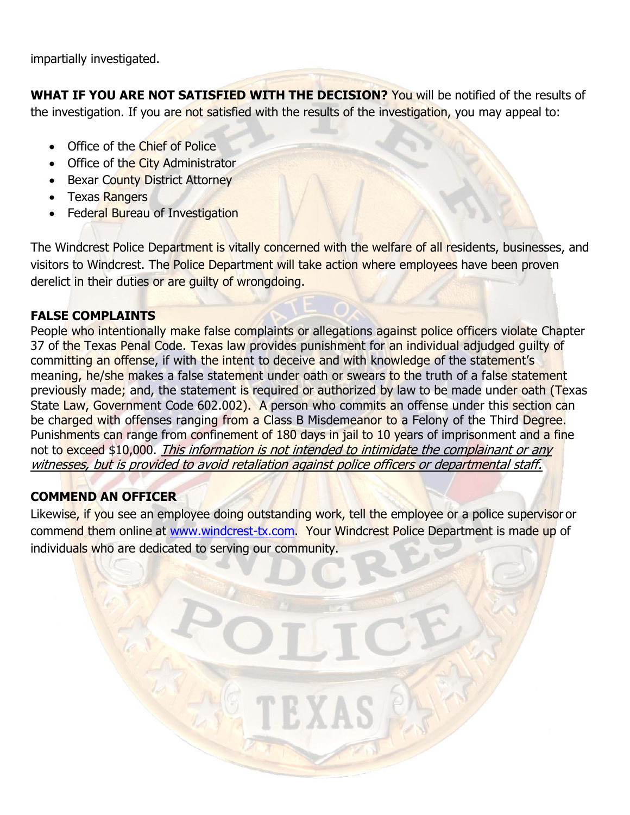impartially investigated.

**WHAT IF YOU ARE NOT SATISFIED WITH THE DECISION?** You will be notified of the results of the investigation. If you are not satisfied with the results of the investigation, you may appeal to:

- Office of the Chief of Police
- Office of the City Administrator
- Bexar County District Attorney
- Texas Rangers
- Federal Bureau of Investigation

The Windcrest Police Department is vitally concerned with the welfare of all residents, businesses, and visitors to Windcrest. The Police Department will take action where employees have been proven derelict in their duties or are guilty of wrongdoing.

#### **FALSE COMPLAINTS**

People who intentionally make false complaints or allegations against police officers violate Chapter 37 of the Texas Penal Code. Texas law provides punishment for an individual adjudged quilty of committing an offense, if with the intent to deceive and with knowledge of the statement's meaning, he/she makes a false statement under oath or swears to the truth of a false statement previously made; and, the statement is required or authorized by law to be made under oath (Texas State Law, Government Code 602.002). A person who commits an offense under this section can be charged with offenses ranging from a Class B Misdemeanor to a Felony of the Third Degree. Punishments can range from confinement of 180 days in jail to 10 years of imprisonment and a fine not to exceed \$10,000. This information is not intended to intimidate the complainant or any witnesses, but is provided to avoid retaliation against police officers or departmental staff.

### **COMMEND AN OFFICER**

Likewise, if you see an employee doing outstanding work, tell the employee or a police supervisor or commend them online at [www.windcrest-tx.com.](http://www.windcrest-tx.com/) Your Windcrest Police Department is made up of individuals who are dedicated to serving our community.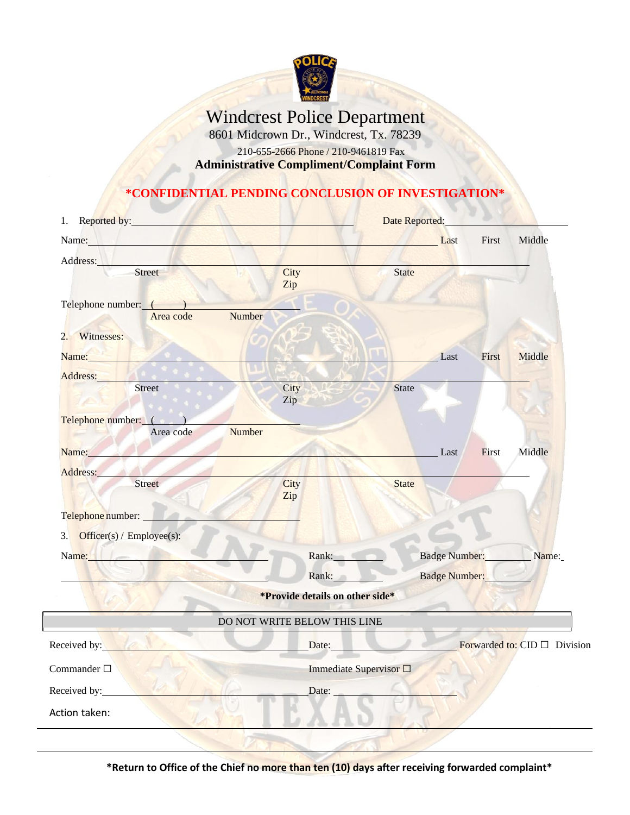

# Windcrest Police Department

8601 Midcrown Dr., Windcrest, Tx. 78239

210-655-2666 Phone / 210-9461819 Fax

**Administrative Compliment/Complaint Form**

#### **\*CONFIDENTIAL PENDING CONCLUSION OF INVESTIGATION\***

|                              |                        |                                                                                                                                                                                                                                                                                                                                                                                                                                                                                                                               |                                                                                                                                                         | First                  | Middle                                                                                |
|------------------------------|------------------------|-------------------------------------------------------------------------------------------------------------------------------------------------------------------------------------------------------------------------------------------------------------------------------------------------------------------------------------------------------------------------------------------------------------------------------------------------------------------------------------------------------------------------------|---------------------------------------------------------------------------------------------------------------------------------------------------------|------------------------|---------------------------------------------------------------------------------------|
|                              |                        |                                                                                                                                                                                                                                                                                                                                                                                                                                                                                                                               |                                                                                                                                                         |                        |                                                                                       |
|                              | Zip                    |                                                                                                                                                                                                                                                                                                                                                                                                                                                                                                                               |                                                                                                                                                         |                        |                                                                                       |
| Telephone number: (2002)     |                        |                                                                                                                                                                                                                                                                                                                                                                                                                                                                                                                               |                                                                                                                                                         |                        |                                                                                       |
|                              |                        |                                                                                                                                                                                                                                                                                                                                                                                                                                                                                                                               |                                                                                                                                                         |                        |                                                                                       |
| Name: Name:                  |                        |                                                                                                                                                                                                                                                                                                                                                                                                                                                                                                                               | Last                                                                                                                                                    | First                  | Middle                                                                                |
|                              |                        |                                                                                                                                                                                                                                                                                                                                                                                                                                                                                                                               |                                                                                                                                                         |                        |                                                                                       |
|                              | Zip                    |                                                                                                                                                                                                                                                                                                                                                                                                                                                                                                                               |                                                                                                                                                         |                        |                                                                                       |
| Telephone number: ( )        |                        |                                                                                                                                                                                                                                                                                                                                                                                                                                                                                                                               |                                                                                                                                                         |                        |                                                                                       |
|                              |                        |                                                                                                                                                                                                                                                                                                                                                                                                                                                                                                                               |                                                                                                                                                         |                        |                                                                                       |
|                              |                        |                                                                                                                                                                                                                                                                                                                                                                                                                                                                                                                               |                                                                                                                                                         |                        | Middle                                                                                |
|                              | City                   | State                                                                                                                                                                                                                                                                                                                                                                                                                                                                                                                         |                                                                                                                                                         |                        |                                                                                       |
| Telephone number:            |                        |                                                                                                                                                                                                                                                                                                                                                                                                                                                                                                                               |                                                                                                                                                         |                        |                                                                                       |
| 3. Officer(s) / Employee(s): |                        |                                                                                                                                                                                                                                                                                                                                                                                                                                                                                                                               |                                                                                                                                                         |                        |                                                                                       |
|                              |                        |                                                                                                                                                                                                                                                                                                                                                                                                                                                                                                                               |                                                                                                                                                         |                        |                                                                                       |
|                              |                        |                                                                                                                                                                                                                                                                                                                                                                                                                                                                                                                               | Badge Number:                                                                                                                                           |                        |                                                                                       |
|                              |                        |                                                                                                                                                                                                                                                                                                                                                                                                                                                                                                                               |                                                                                                                                                         |                        |                                                                                       |
|                              |                        |                                                                                                                                                                                                                                                                                                                                                                                                                                                                                                                               |                                                                                                                                                         |                        |                                                                                       |
|                              |                        |                                                                                                                                                                                                                                                                                                                                                                                                                                                                                                                               |                                                                                                                                                         |                        |                                                                                       |
|                              |                        |                                                                                                                                                                                                                                                                                                                                                                                                                                                                                                                               |                                                                                                                                                         |                        |                                                                                       |
|                              |                        |                                                                                                                                                                                                                                                                                                                                                                                                                                                                                                                               |                                                                                                                                                         |                        |                                                                                       |
|                              |                        |                                                                                                                                                                                                                                                                                                                                                                                                                                                                                                                               |                                                                                                                                                         |                        |                                                                                       |
|                              | Area code<br>Area code | 1. Reported by:<br>Name: Name and the state of the state of the state of the state of the state of the state of the state of the state of the state of the state of the state of the state of the state of the state of the state of the state of<br>City<br>Number<br>City<br>Number<br>Name: Name: Name: Name: Name: Name: Name: Name: Name: Name: Name: Name: Name: Name: Name: Name: Name: Name: Name: Name: Name: Name: Name: Name: Name: Name: Name: Name: Name: Name: Name: Name: Name: Name: Name: Name: Name:<br>Zip | State<br>State<br>Rank: New York<br>Rank:<br>*Provide details on other side*<br>DO NOT WRITE BELOW THIS LINE<br>Immediate Supervisor $\square$<br>Date: | Date Reported:<br>Last | <b>Example 12</b><br>First<br>Badge Number: Name:<br>Date: Forwarded to: CID Division |

**\*Return to Office of the Chief no more than ten (10) days after receiving forwarded complaint\***